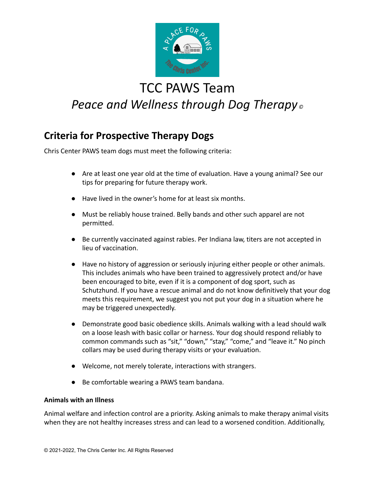

# TCC PAWS Team *Peace and Wellness through Dog Therapy ©*

### **Criteria for Prospective Therapy Dogs**

Chris Center PAWS team dogs must meet the following criteria:

- Are at least one year old at the time of evaluation. Have a young animal? See our tips for preparing for future therapy work.
- Have lived in the owner's home for at least six months.
- Must be reliably house trained. Belly bands and other such apparel are not permitted.
- Be currently vaccinated against rabies. Per Indiana law, titers are not accepted in lieu of vaccination.
- Have no history of aggression or seriously injuring either people or other animals. This includes animals who have been trained to aggressively protect and/or have been encouraged to bite, even if it is a component of dog sport, such as Schutzhund. If you have a rescue animal and do not know definitively that your dog meets this requirement, we suggest you not put your dog in a situation where he may be triggered unexpectedly.
- Demonstrate good basic obedience skills. Animals walking with a lead should walk on a loose leash with basic collar or harness. Your dog should respond reliably to common commands such as "sit," "down," "stay," "come," and "leave it." No pinch collars may be used during therapy visits or your evaluation.
- Welcome, not merely tolerate, interactions with strangers.
- Be comfortable wearing a PAWS team bandana.

#### **Animals with an Illness**

Animal welfare and infection control are a priority. Asking animals to make therapy animal visits when they are not healthy increases stress and can lead to a worsened condition. Additionally,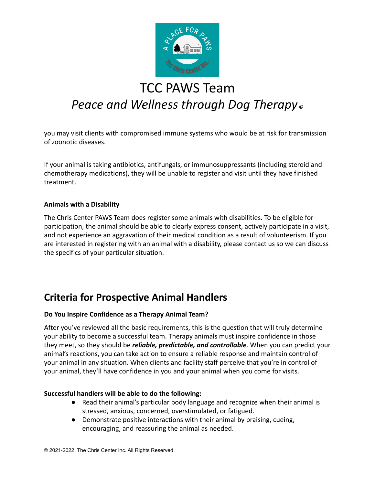

# TCC PAWS Team *Peace and Wellness through Dog Therapy ©*

you may visit clients with compromised immune systems who would be at risk for transmission of zoonotic diseases.

If your animal is taking antibiotics, antifungals, or immunosuppressants (including steroid and chemotherapy medications), they will be unable to register and visit until they have finished treatment.

#### **Animals with a Disability**

The Chris Center PAWS Team does register some animals with disabilities. To be eligible for participation, the animal should be able to clearly express consent, actively participate in a visit, and not experience an aggravation of their medical condition as a result of volunteerism. If you are interested in registering with an animal with a disability, please contact us so we can discuss the specifics of your particular situation.

### **Criteria for Prospective Animal Handlers**

#### **Do You Inspire Confidence as a Therapy Animal Team?**

After you've reviewed all the basic requirements, this is the question that will truly determine your ability to become a successful team. Therapy animals must inspire confidence in those they meet, so they should be *reliable, predictable, and controllable*. When you can predict your animal's reactions, you can take action to ensure a reliable response and maintain control of your animal in any situation. When clients and facility staff perceive that you're in control of your animal, they'll have confidence in you and your animal when you come for visits.

#### **Successful handlers will be able to do the following:**

- Read their animal's particular body language and recognize when their animal is stressed, anxious, concerned, overstimulated, or fatigued.
- Demonstrate positive interactions with their animal by praising, cueing, encouraging, and reassuring the animal as needed.